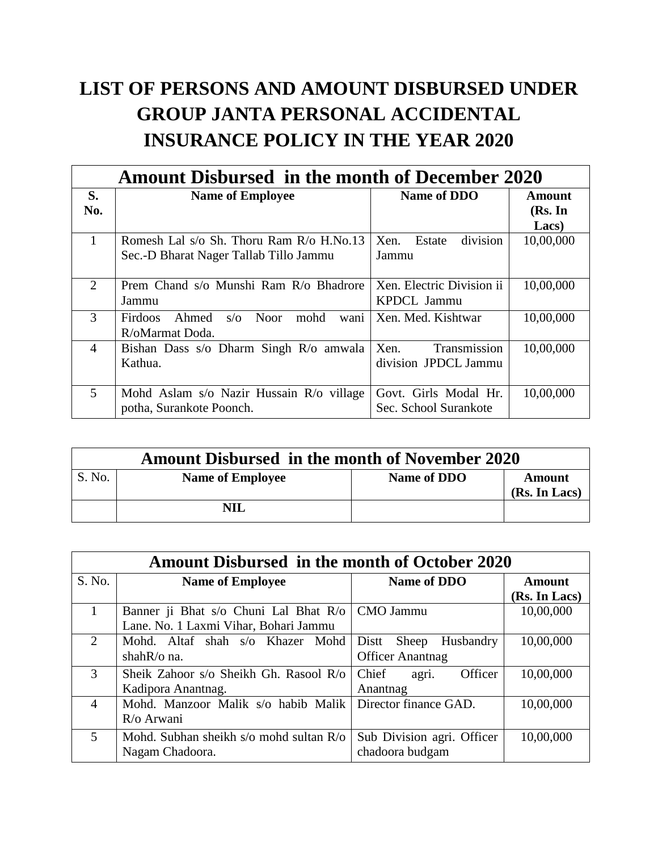## **LIST OF PERSONS AND AMOUNT DISBURSED UNDER GROUP JANTA PERSONAL ACCIDENTAL INSURANCE POLICY IN THE YEAR 2020**

| Amount Disbursed in the month of December 2020 |                                                                                    |                                                |                          |
|------------------------------------------------|------------------------------------------------------------------------------------|------------------------------------------------|--------------------------|
| S.<br>No.                                      | <b>Name of Employee</b>                                                            | Name of DDO                                    | <b>Amount</b><br>(Rs. In |
| 1                                              | Romesh Lal s/o Sh. Thoru Ram R/o H.No.13<br>Sec.-D Bharat Nager Tallab Tillo Jammu | division<br>Xen.<br>Estate<br>Jammu            | Lacs)<br>10,00,000       |
| 2                                              | Prem Chand s/o Munshi Ram R/o Bhadrore<br>Jammu                                    | Xen. Electric Division ii<br>KPDCL Jammu       | 10,00,000                |
| 3                                              | $s/\sigma$<br><b>Noor</b><br>mohd<br>Ahmed<br>Firdoos<br>wani<br>R/oMarmat Doda.   | Xen. Med. Kishtwar                             | 10,00,000                |
| $\overline{4}$                                 | Bishan Dass s/o Dharm Singh R/o amwala<br>Kathua.                                  | Transmission<br>Xen.<br>division JPDCL Jammu   | 10,00,000                |
| 5                                              | Mohd Aslam s/o Nazir Hussain R/o village<br>potha, Surankote Poonch.               | Govt. Girls Modal Hr.<br>Sec. School Surankote | 10,00,000                |

| <b>Amount Disbursed in the month of November 2020</b> |                         |             |                         |
|-------------------------------------------------------|-------------------------|-------------|-------------------------|
| S. No.                                                | <b>Name of Employee</b> | Name of DDO | Amount<br>(Rs. In Lacs) |
|                                                       | <b>NIL</b>              |             |                         |

| <b>Amount Disbursed in the month of October 2020</b> |                                         |                             |               |
|------------------------------------------------------|-----------------------------------------|-----------------------------|---------------|
| S. No.                                               | <b>Name of Employee</b>                 | Name of DDO                 | Amount        |
|                                                      |                                         |                             | (Rs. In Lacs) |
| 1                                                    | Banner ji Bhat s/o Chuni Lal Bhat R/o   | CMO Jammu                   | 10,00,000     |
|                                                      | Lane. No. 1 Laxmi Vihar, Bohari Jammu   |                             |               |
| $\overline{2}$                                       | Mohd. Altaf shah s/o Khazer Mohd        | Sheep<br>Distt<br>Husbandry | 10,00,000     |
|                                                      | shah $R$ / $\circ$ na.                  | <b>Officer Anantnag</b>     |               |
| 3                                                    | Sheik Zahoor s/o Sheikh Gh. Rasool R/o  | Officer<br>Chief<br>agri.   | 10,00,000     |
|                                                      | Kadipora Anantnag.                      | Anantnag                    |               |
| $\overline{4}$                                       | Mohd. Manzoor Malik s/o habib Malik     | Director finance GAD.       | 10,00,000     |
|                                                      | R/o Arwani                              |                             |               |
| 5                                                    | Mohd. Subhan sheikh s/o mohd sultan R/o | Sub Division agri. Officer  | 10,00,000     |
|                                                      | Nagam Chadoora.                         | chadoora budgam             |               |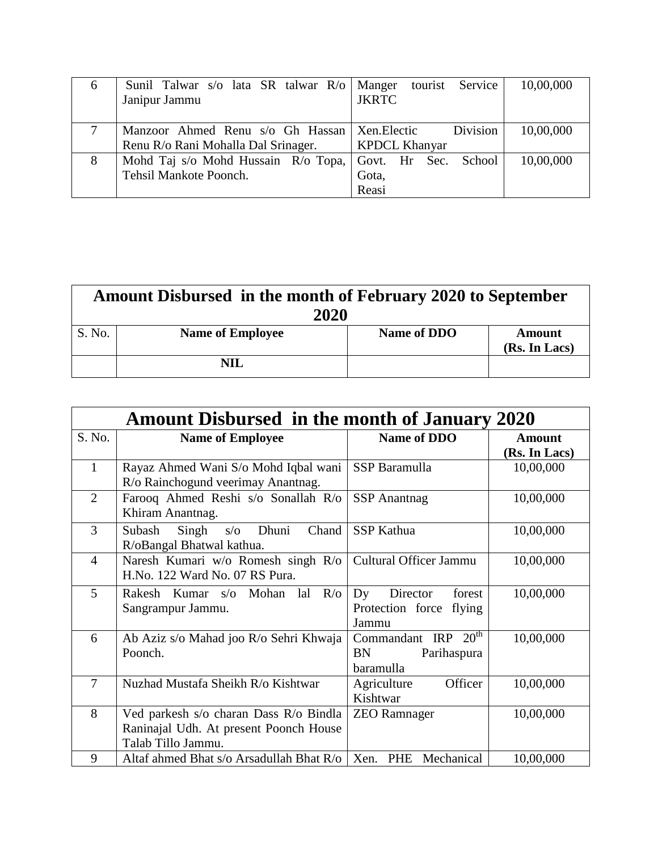| $\mathfrak b$ | Sunil Talwar s/o lata SR talwar R/o   Manger tourist Service | 10,00,000             |
|---------------|--------------------------------------------------------------|-----------------------|
|               | Janipur Jammu                                                | <b>JKRTC</b>          |
|               |                                                              |                       |
|               | Manzoor Ahmed Renu s/o Gh Hassan   Xen. Electic              | Division<br>10,00,000 |
|               | Renu R/o Rani Mohalla Dal Srinager.                          | <b>KPDCL Khanyar</b>  |
| 8             | Mohd Taj s/o Mohd Hussain R/o Topa, Govt. Hr Sec. School     | 10,00,000             |
|               | Tehsil Mankote Poonch.                                       | Gota,                 |
|               |                                                              | Reasi                 |

| Amount Disbursed in the month of February 2020 to September<br>2020 |                         |             |                         |
|---------------------------------------------------------------------|-------------------------|-------------|-------------------------|
| S. No.                                                              | <b>Name of Employee</b> | Name of DDO | Amount<br>(Rs. In Lacs) |
|                                                                     | NIL                     |             |                         |

| <b>Amount Disbursed in the month of January 2020</b> |                                                                                                        |                                                                   |               |
|------------------------------------------------------|--------------------------------------------------------------------------------------------------------|-------------------------------------------------------------------|---------------|
| S. No.                                               | <b>Name of Employee</b>                                                                                | <b>Name of DDO</b>                                                | <b>Amount</b> |
|                                                      |                                                                                                        |                                                                   | (Rs. In Lacs) |
| $\mathbf{1}$                                         | Rayaz Ahmed Wani S/o Mohd Iqbal wani                                                                   | SSP Baramulla                                                     | 10,00,000     |
|                                                      | R/o Rainchogund veerimay Anantnag.                                                                     |                                                                   |               |
| $\overline{2}$                                       | Farooq Ahmed Reshi s/o Sonallah R/o<br>Khiram Anantnag.                                                | <b>SSP</b> Anantnag                                               | 10,00,000     |
| 3                                                    | Chand<br>Subash<br>Singh<br>Dhuni<br>$s/\sigma$<br>R/oBangal Bhatwal kathua.                           | <b>SSP Kathua</b>                                                 | 10,00,000     |
| $\overline{4}$                                       | Naresh Kumari w/o Romesh singh R/o<br>H.No. 122 Ward No. 07 RS Pura.                                   | Cultural Officer Jammu                                            | 10,00,000     |
| 5                                                    | Mohan<br>$R$ <sub>o</sub><br>Rakesh Kumar<br>S/O<br>lal<br>Sangrampur Jammu.                           | Dy<br>Director<br>forest<br>Protection force<br>flying<br>Jammu   | 10,00,000     |
| 6                                                    | Ab Aziz s/o Mahad joo R/o Sehri Khwaja<br>Poonch.                                                      | $20^{\rm th}$<br>Commandant IRP<br>BN<br>Parihaspura<br>baramulla | 10,00,000     |
| $\overline{7}$                                       | Nuzhad Mustafa Sheikh R/o Kishtwar                                                                     | Officer<br>Agriculture<br>Kishtwar                                | 10,00,000     |
| 8                                                    | Ved parkesh s/o charan Dass R/o Bindla<br>Raninajal Udh. At present Poonch House<br>Talab Tillo Jammu. | <b>ZEO</b> Ramnager                                               | 10,00,000     |
| 9                                                    | Altaf ahmed Bhat s/o Arsadullah Bhat R/o                                                               | Xen. PHE Mechanical                                               | 10,00,000     |